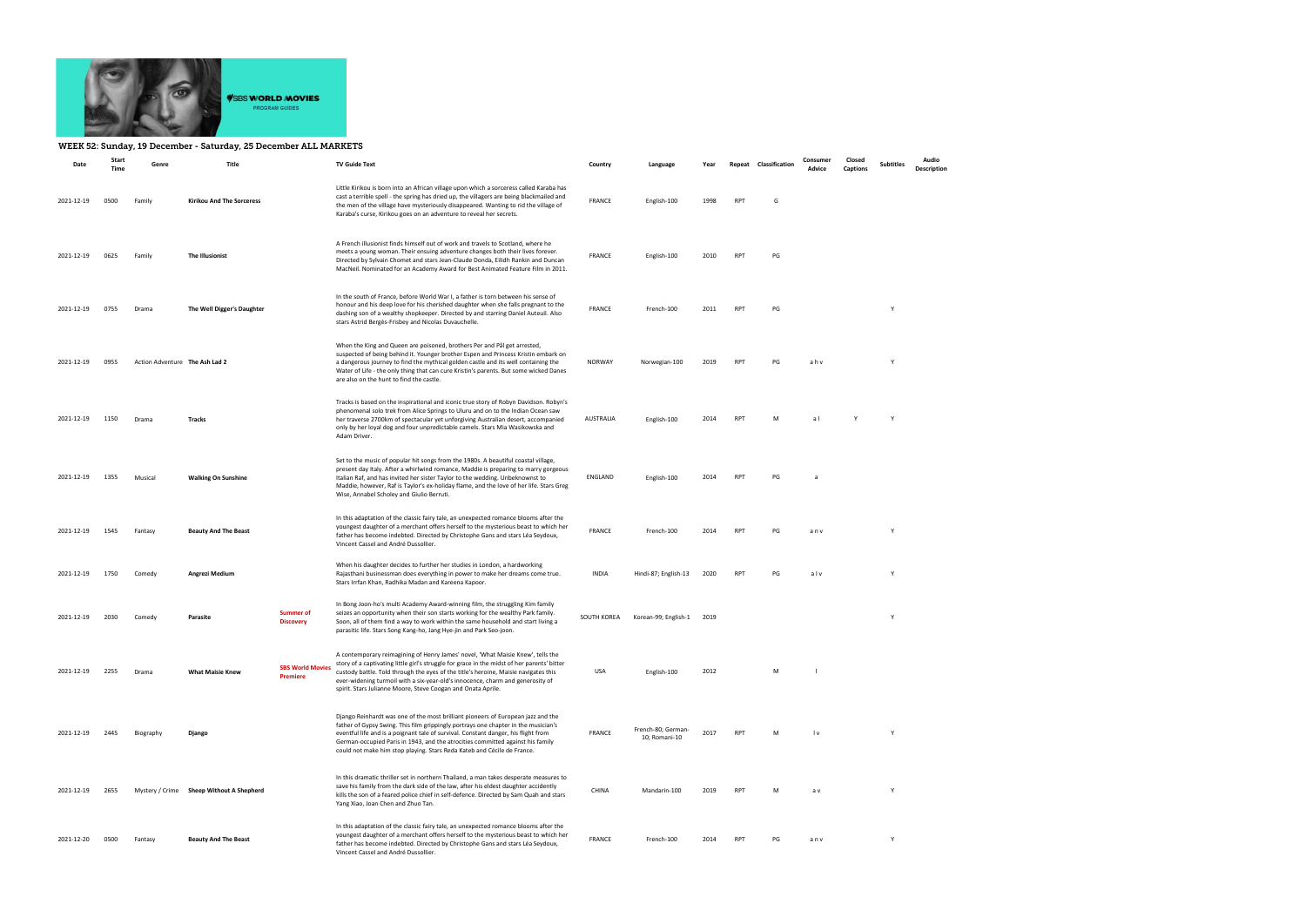

## WEEK 52: Sunday, 19 December - Saturday, 25 December ALL MARKETS

| Date       | Start<br>Time | Genre                          | Title                                    |                                            | <b>TV Guide Text</b>                                                                                                                                                                                                                                                                                                                                                                                                      | Country       | Language                            | Year | Repeat     | Classification | Consumer<br>Advice      | Closed<br>Captions | <b>Subtitles</b> | Audio<br><b>Description</b> |
|------------|---------------|--------------------------------|------------------------------------------|--------------------------------------------|---------------------------------------------------------------------------------------------------------------------------------------------------------------------------------------------------------------------------------------------------------------------------------------------------------------------------------------------------------------------------------------------------------------------------|---------------|-------------------------------------|------|------------|----------------|-------------------------|--------------------|------------------|-----------------------------|
| 2021-12-19 | 0500          | Family                         | Kirikou And The Sorceress                |                                            | Little Kirikou is born into an African village upon which a sorceress called Karaba has<br>cast a terrible spell - the spring has dried up, the villagers are being blackmailed and<br>the men of the village have mysteriously disappeared. Wanting to rid the village of<br>Karaba's curse, Kirikou goes on an adventure to reveal her secrets.                                                                         | <b>FRANCE</b> | English-100                         | 1998 | <b>RPT</b> | G              |                         |                    |                  |                             |
| 2021-12-19 | 0625          | Family                         | The Illusionist                          |                                            | A French illusionist finds himself out of work and travels to Scotland, where he<br>meets a young woman. Their ensuing adventure changes both their lives forever.<br>Directed by Sylvain Chomet and stars Jean-Claude Donda, Eilidh Rankin and Duncan<br>MacNeil. Nominated for an Academy Award for Best Animated Feature Film in 2011.                                                                                 | FRANCE        | English-100                         | 2010 | RPT        | PG             |                         |                    |                  |                             |
| 2021-12-19 | 0755          | Drama                          | The Well Digger's Daughter               |                                            | In the south of France, before World War I, a father is torn between his sense of<br>honour and his deep love for his cherished daughter when she falls pregnant to the<br>dashing son of a wealthy shopkeeper. Directed by and starring Daniel Auteuil. Also<br>stars Astrid Bergès-Frisbey and Nicolas Duvauchelle.                                                                                                     | <b>FRANCE</b> | French-100                          | 2011 | RPT        | PG             |                         |                    | Y                |                             |
| 2021-12-19 | 0955          | Action Adventure The Ash Lad 2 |                                          |                                            | When the King and Queen are poisoned, brothers Per and Pål get arrested,<br>suspected of being behind it. Younger brother Espen and Princess Kristin embark on<br>a dangerous journey to find the mythical golden castle and its well containing the<br>Water of Life - the only thing that can cure Kristin's parents. But some wicked Danes<br>are also on the hunt to find the castle.                                 | <b>NORWAY</b> | Norwegian-100                       | 2019 | <b>RPT</b> | PG             | ahv                     |                    | Y                |                             |
| 2021-12-19 | 1150          | Drama                          | Tracks                                   |                                            | Tracks is based on the inspirational and iconic true story of Robyn Davidson. Robyn's<br>phenomenal solo trek from Alice Springs to Uluru and on to the Indian Ocean saw<br>her traverse 2700km of spectacular yet unforgiving Australian desert, accompanied<br>only by her loyal dog and four unpredictable camels. Stars Mia Wasikowska and<br>Adam Driver.                                                            | AUSTRALIA     | English-100                         | 2014 | RPT        | м              | a l                     |                    | Y                |                             |
| 2021-12-19 | 1355          | Musical                        | <b>Walking On Sunshine</b>               |                                            | Set to the music of popular hit songs from the 1980s. A beautiful coastal village,<br>present day Italy. After a whirlwind romance, Maddie is preparing to marry gorgeous<br>Italian Raf, and has invited her sister Taylor to the wedding. Unbeknownst to<br>Maddie, however, Raf is Taylor's ex-holiday flame, and the love of her life. Stars Greg<br>Wise, Annabel Scholey and Giulio Berruti.                        | ENGLAND       | English-100                         | 2014 | <b>RPT</b> | PG             | -a                      |                    |                  |                             |
| 2021-12-19 | 1545          | Fantasy                        | <b>Beauty And The Beast</b>              |                                            | In this adaptation of the classic fairy tale, an unexpected romance blooms after the<br>youngest daughter of a merchant offers herself to the mysterious beast to which her<br>father has become indebted. Directed by Christophe Gans and stars Léa Seydoux,<br>Vincent Cassel and André Dussollier.                                                                                                                     | <b>FRANCE</b> | French-100                          | 2014 | RPT        | PG             | anv                     |                    | Y                |                             |
| 2021-12-19 | 1750          | Comedy                         | Angrezi Medium                           |                                            | When his daughter decides to further her studies in London, a hardworking<br>Rajasthani businessman does everything in power to make her dreams come true.<br>Stars Irrfan Khan, Radhika Madan and Kareena Kapoor.                                                                                                                                                                                                        | <b>INDIA</b>  | Hindi-87; English-13                | 2020 | <b>RPT</b> | PG             | alv                     |                    | Y                |                             |
| 2021-12-19 | 2030          | Comedy                         | Parasite                                 | <b>Summer of</b><br><b>Discovery</b>       | In Bong Joon-ho's multi Academy Award-winning film, the struggling Kim family<br>seizes an opportunity when their son starts working for the wealthy Park family.<br>Soon, all of them find a way to work within the same household and start living a<br>parasitic life. Stars Song Kang-ho, Jang Hye-jin and Park Seo-joon.                                                                                             | SOUTH KOREA   | Korean-99; English-1                | 2019 |            |                |                         |                    | Y                |                             |
| 2021-12-19 | 2255          | Drama                          | <b>What Maisie Knew</b>                  | <b>SBS World Movies</b><br><b>Premiere</b> | A contemporary reimagining of Henry James' novel, 'What Maisie Knew', tells the<br>story of a captivating little girl's struggle for grace in the midst of her parents' bitter<br>custody battle. Told through the eyes of the title's heroine, Maisie navigates this<br>ever-widening turmoil with a six-year-old's innocence, charm and generosity of<br>spirit. Stars Julianne Moore, Steve Coogan and Onata Aprile.   | USA           | English-100                         | 2012 |            | М              |                         |                    |                  |                             |
| 2021-12-19 | 2445          | Biography                      | Django                                   |                                            | Django Reinhardt was one of the most brilliant pioneers of European jazz and the<br>father of Gypsy Swing. This film grippingly portrays one chapter in the musician's<br>eventful life and is a poignant tale of survival. Constant danger, his flight from<br>German-occupied Paris in 1943, and the atrocities committed against his family<br>could not make him stop playing. Stars Reda Kateb and Cécile de France. | FRANCE        | French-80; German-<br>10; Romani-10 | 2017 | <b>RPT</b> | м              | $\mathsf{I} \mathsf{v}$ |                    | Y                |                             |
| 2021-12-19 | 2655          |                                | Mystery / Crime Sheep Without A Shepherd |                                            | In this dramatic thriller set in northern Thailand, a man takes desperate measures to<br>save his family from the dark side of the law, after his eldest daughter accidently<br>kills the son of a feared police chief in self-defence. Directed by Sam Quah and stars<br>Yang Xiao, Joan Chen and Zhuo Tan.                                                                                                              | CHINA         | Mandarin-100                        | 2019 | <b>RPT</b> | м              | a v                     |                    | Y                |                             |
| 2021-12-20 | 0500          | Fantasy                        | <b>Beauty And The Beast</b>              |                                            | In this adaptation of the classic fairy tale, an unexpected romance blooms after the<br>youngest daughter of a merchant offers herself to the mysterious beast to which her<br>father has become indebted. Directed by Christophe Gans and stars Léa Seydoux,<br>Vincent Cassel and André Dussollier.                                                                                                                     | <b>FRANCE</b> | French-100                          | 2014 | <b>RPT</b> | PG             | anv                     |                    | $\mathsf{Y}$     |                             |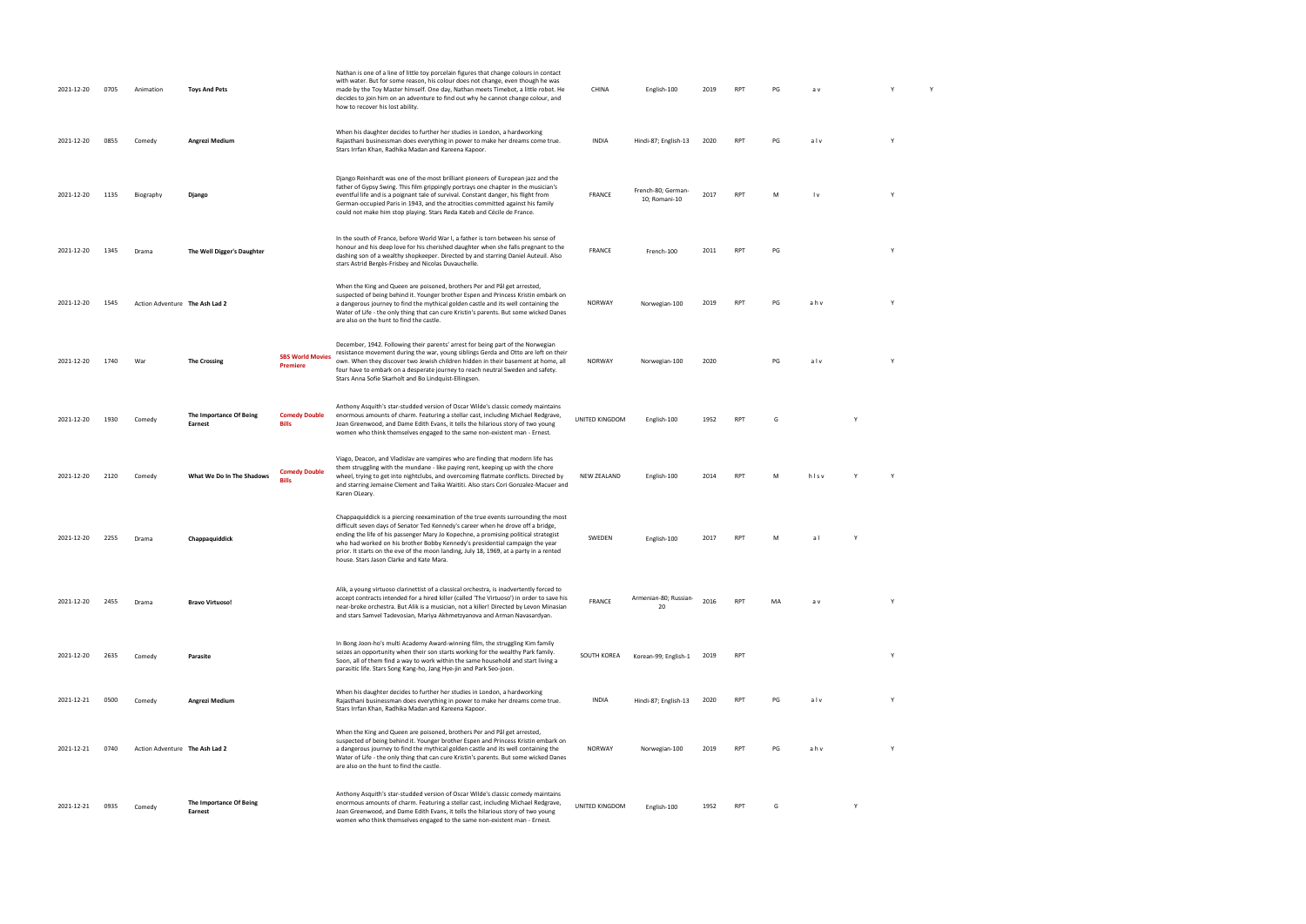| 2021-12-20 | 0705 | Animation                      | <b>Toys And Pets</b>               |                                            | Nathan is one of a line of little toy porcelain figures that change colours in contact<br>with water. But for some reason, his colour does not change, even though he was<br>made by the Toy Master himself. One day, Nathan meets Timebot, a little robot. He<br>decides to join him on an adventure to find out why he cannot change colour, and<br>how to recover his lost ability.                                                                                              | CHINA          | English-100                         | 2019 | <b>RPT</b> | PG | a v                     |          | Y |  |
|------------|------|--------------------------------|------------------------------------|--------------------------------------------|-------------------------------------------------------------------------------------------------------------------------------------------------------------------------------------------------------------------------------------------------------------------------------------------------------------------------------------------------------------------------------------------------------------------------------------------------------------------------------------|----------------|-------------------------------------|------|------------|----|-------------------------|----------|---|--|
| 2021-12-20 | 0855 | Comedy                         | Angrezi Medium                     |                                            | When his daughter decides to further her studies in London, a hardworking<br>Rajasthani businessman does everything in power to make her dreams come true.<br>Stars Irrfan Khan, Radhika Madan and Kareena Kapoor.                                                                                                                                                                                                                                                                  | <b>INDIA</b>   | Hindi-87; English-13                | 2020 | <b>RPT</b> | PG | alv                     | Y        |   |  |
| 2021-12-20 | 1135 | Biography                      | Django                             |                                            | Django Reinhardt was one of the most brilliant pioneers of European jazz and the<br>father of Gypsy Swing. This film grippingly portrays one chapter in the musician's<br>eventful life and is a poignant tale of survival. Constant danger, his flight from<br>German-occupied Paris in 1943, and the atrocities committed against his family<br>could not make him stop playing. Stars Reda Kateb and Cécile de France.                                                           | <b>FRANCE</b>  | French-80; German-<br>10; Romani-10 | 2017 | <b>RPT</b> | M  | $\mathsf{I} \mathsf{v}$ | <b>Y</b> |   |  |
| 2021-12-20 | 1345 | Drama                          | The Well Digger's Daughter         |                                            | In the south of France, before World War I, a father is torn between his sense of<br>honour and his deep love for his cherished daughter when she falls pregnant to the<br>dashing son of a wealthy shopkeeper. Directed by and starring Daniel Auteuil. Also<br>stars Astrid Bergès-Frisbey and Nicolas Duvauchelle.                                                                                                                                                               | <b>FRANCE</b>  | French-100                          | 2011 | <b>RPT</b> | PG |                         | Y        |   |  |
| 2021-12-20 | 1545 | Action Adventure The Ash Lad 2 |                                    |                                            | When the King and Queen are poisoned, brothers Per and Pål get arrested,<br>suspected of being behind it. Younger brother Espen and Princess Kristin embark on<br>a dangerous journey to find the mythical golden castle and its well containing the<br>Water of Life - the only thing that can cure Kristin's parents. But some wicked Danes<br>are also on the hunt to find the castle.                                                                                           | NORWAY         | Norwegian-100                       | 2019 | <b>RPT</b> | PG | ahv                     | Y        |   |  |
| 2021-12-20 | 1740 | War                            | <b>The Crossing</b>                | <b>SBS World Movies</b><br><b>Premiere</b> | December, 1942. Following their parents' arrest for being part of the Norwegian<br>resistance movement during the war, young siblings Gerda and Otto are left on their<br>own. When they discover two Jewish children hidden in their basement at home, all<br>four have to embark on a desperate journey to reach neutral Sweden and safety.<br>Stars Anna Sofie Skarholt and Bo Lindquist-Ellingsen.                                                                              | NORWAY         | Norwegian-100                       | 2020 |            | PG | alv                     | Y        |   |  |
| 2021-12-20 | 1930 | Comedy                         | The Importance Of Being<br>Earnest | <b>Comedy Double</b><br><b>Bills</b>       | Anthony Asquith's star-studded version of Oscar Wilde's classic comedy maintains<br>enormous amounts of charm. Featuring a stellar cast, including Michael Redgrave,<br>Joan Greenwood, and Dame Edith Evans, it tells the hilarious story of two young<br>women who think themselves engaged to the same non-existent man - Ernest.                                                                                                                                                | UNITED KINGDOM | English-100                         | 1952 | <b>RPT</b> | G  |                         |          |   |  |
| 2021-12-20 | 2120 | Comedy                         | What We Do In The Shadows          | <b>Comedy Double</b>                       | Viago, Deacon, and Vladislav are vampires who are finding that modern life has<br>them struggling with the mundane - like paying rent, keeping up with the chore<br>wheel, trying to get into nightclubs, and overcoming flatmate conflicts. Directed by<br>and starring Jemaine Clement and Taika Waititi. Also stars Cori Gonzalez-Macuer and<br>Karen OLeary.                                                                                                                    | NEW ZEALAND    | English-100                         | 2014 | <b>RPT</b> | M  | hisv                    |          |   |  |
| 2021-12-20 | 2255 | Drama                          | Chappaquiddick                     |                                            | Chappaquiddick is a piercing reexamination of the true events surrounding the most<br>difficult seven days of Senator Ted Kennedy's career when he drove off a bridge,<br>ending the life of his passenger Mary Jo Kopechne, a promising political strategist<br>who had worked on his brother Bobby Kennedy's presidential campaign the year<br>prior. It starts on the eve of the moon landing, July 18, 1969, at a party in a rented<br>house. Stars Jason Clarke and Kate Mara. | SWEDEN         | English-100                         | 2017 | <b>RPT</b> |    | al                      |          |   |  |
| 2021-12-20 | 2455 | Drama                          | <b>Bravo Virtuoso!</b>             |                                            | Alik, a young virtuoso clarinettist of a classical orchestra, is inadvertently forced to<br>accept contracts intended for a hired killer (called 'The Virtuoso') in order to save his<br>near-broke orchestra. But Alik is a musician, not a killer! Directed by Levon Minasian<br>and stars Samvel Tadevosian, Mariya Akhmetzyanova and Arman Navasardyan.                                                                                                                         | <b>FRANCE</b>  | Armenian-80; Russian-<br>20         | 2016 | <b>RPT</b> | MA | a v                     | Y        |   |  |
| 2021-12-20 | 2635 | Comedy                         | Parasite                           |                                            | In Bong Joon-ho's multi Academy Award-winning film, the struggling Kim family<br>seizes an opportunity when their son starts working for the wealthy Park family.<br>Soon, all of them find a way to work within the same household and start living a<br>parasitic life. Stars Song Kang-ho, Jang Hye-jin and Park Seo-joon.                                                                                                                                                       | SOUTH KOREA    | Korean-99; English-1 2019           |      | <b>RPT</b> |    |                         | Y        |   |  |
| 2021-12-21 | 0500 | Comedy                         | Angrezi Medium                     |                                            | When his daughter decides to further her studies in London, a hardworking<br>Rajasthani businessman does everything in power to make her dreams come true.<br>Stars Irrfan Khan, Radhika Madan and Kareena Kapoor.                                                                                                                                                                                                                                                                  | <b>INDIA</b>   | Hindi-87; English-13                | 2020 | <b>RPT</b> | PG | alv                     |          |   |  |
| 2021-12-21 | 0740 | Action Adventure The Ash Lad 2 |                                    |                                            | When the King and Queen are poisoned, brothers Per and Pål get arrested,<br>suspected of being behind it. Younger brother Espen and Princess Kristin embark on<br>a dangerous journey to find the mythical golden castle and its well containing the<br>Water of Life - the only thing that can cure Kristin's parents. But some wicked Danes<br>are also on the hunt to find the castle.                                                                                           | NORWAY         | Norwegian-100                       | 2019 | RPT        | PG | ahv                     | Y        |   |  |
| 2021-12-21 | 0935 | Comedy                         | The Importance Of Being<br>Earnest |                                            | Anthony Asquith's star-studded version of Oscar Wilde's classic comedy maintains<br>enormous amounts of charm. Featuring a stellar cast, including Michael Redgrave,<br>Joan Greenwood, and Dame Edith Evans, it tells the hilarious story of two young<br>women who think themselves engaged to the same non-existent man - Ernest.                                                                                                                                                | UNITED KINGDOM | English-100                         | 1952 | <b>RPT</b> | G  |                         |          |   |  |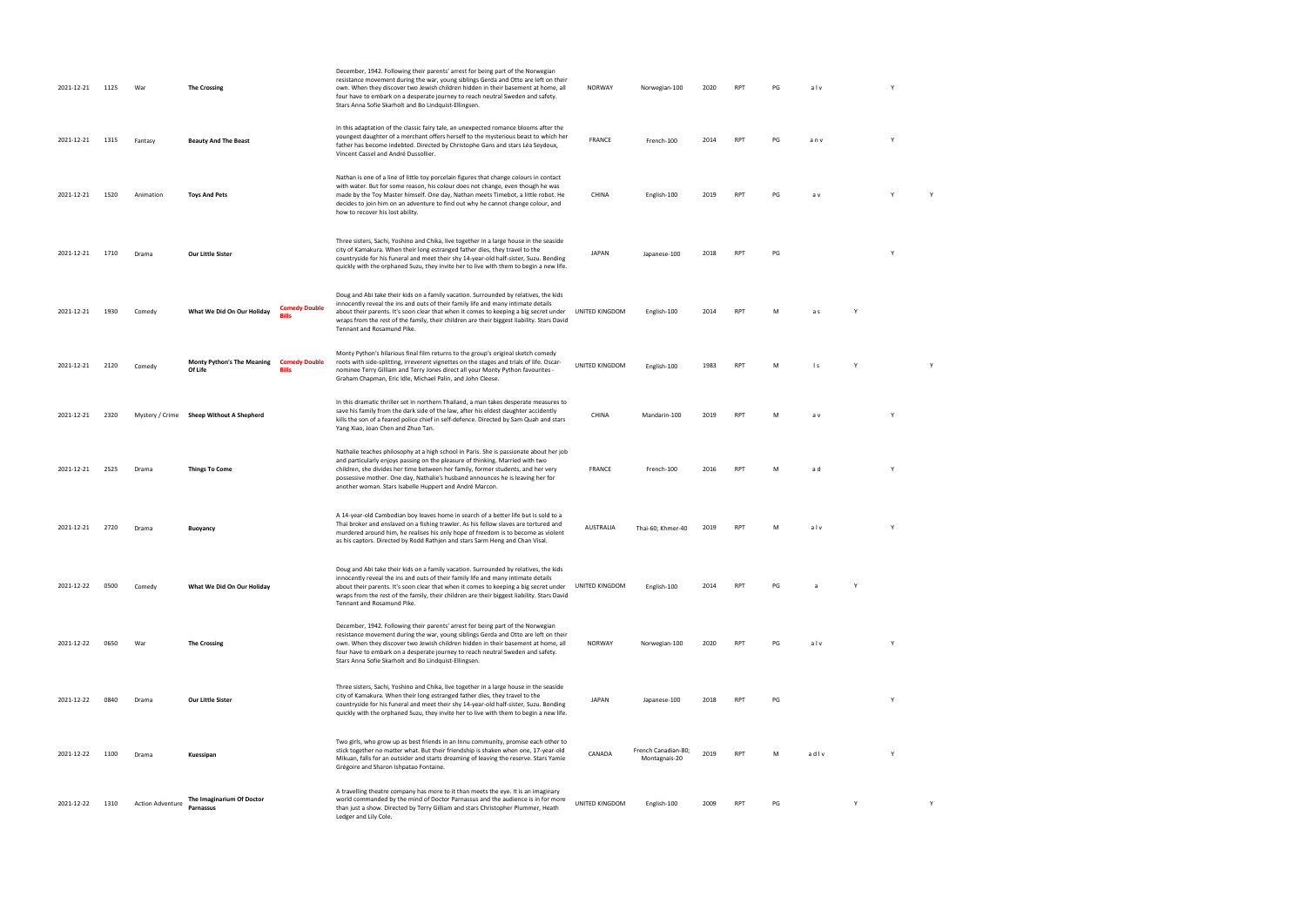| 2021-12-21 | 1125 | War                     | <b>The Crossing</b>                                          |                      | December, 1942. Following their parents' arrest for being part of the Norwegian<br>resistance movement during the war, young siblings Gerda and Otto are left on their<br>own. When they discover two Jewish children hidden in their basement at home, all<br>four have to embark on a desperate journey to reach neutral Sweden and safety.<br>Stars Anna Sofie Skarholt and Bo Lindquist-Ellingsen.   | NORWAY         | Norwegian-100                        | 2020 | <b>RPT</b>      | PG | alv          |   | Y        |   |  |
|------------|------|-------------------------|--------------------------------------------------------------|----------------------|----------------------------------------------------------------------------------------------------------------------------------------------------------------------------------------------------------------------------------------------------------------------------------------------------------------------------------------------------------------------------------------------------------|----------------|--------------------------------------|------|-----------------|----|--------------|---|----------|---|--|
| 2021-12-21 | 1315 | Fantasy                 | <b>Beauty And The Beast</b>                                  |                      | In this adaptation of the classic fairy tale, an unexpected romance blooms after the<br>youngest daughter of a merchant offers herself to the mysterious beast to which her<br>father has become indebted. Directed by Christophe Gans and stars Léa Seydoux,<br>Vincent Cassel and André Dussollier.                                                                                                    | <b>FRANCE</b>  | French-100                           | 2014 | <b>RPT</b>      | PG | anv          |   | Y        |   |  |
| 2021-12-21 | 1520 | Animation               | <b>Toys And Pets</b>                                         |                      | Nathan is one of a line of little toy porcelain figures that change colours in contact<br>with water. But for some reason, his colour does not change, even though he was<br>made by the Toy Master himself. One day, Nathan meets Timebot, a little robot. He<br>decides to join him on an adventure to find out why he cannot change colour, and<br>how to recover his lost ability.                   | CHINA          | English-100                          | 2019 | <b>RPT</b>      | PG | a v          |   |          |   |  |
| 2021-12-21 | 1710 | Drama                   | Our Little Sister                                            |                      | Three sisters, Sachi, Yoshino and Chika, live together in a large house in the seaside<br>city of Kamakura. When their long estranged father dies, they travel to the<br>countryside for his funeral and meet their shy 14-year-old half-sister, Suzu. Bonding<br>quickly with the orphaned Suzu, they invite her to live with them to begin a new life.                                                 | <b>JAPAN</b>   | Japanese-100                         | 2018 | <b>RPT</b>      | PG |              |   |          |   |  |
| 2021-12-21 | 1930 | Comedy                  | What We Did On Our Holiday<br>Rille                          | <b>Comedy Double</b> | Doug and Abi take their kids on a family vacation. Surrounded by relatives, the kids<br>innocently reveal the ins and outs of their family life and many intimate details<br>about their parents. It's soon clear that when it comes to keeping a big secret under<br>wraps from the rest of the family, their children are their biggest liability. Stars David<br>Tennant and Rosamund Pike.           | UNITED KINGDOM | English-100                          | 2014 | <b>RPT</b>      | M  | a s          |   |          |   |  |
| 2021-12-21 | 2120 | Comedy                  | <b>Monty Python's The Meaning</b><br>Of Life<br><b>Bills</b> | <b>Comedy Double</b> | Monty Python's hilarious final film returns to the group's original sketch comedy<br>roots with side-splitting, irreverent vignettes on the stages and trials of life. Oscar-<br>nominee Terry Gilliam and Terry Jones direct all your Monty Python favourites -<br>Graham Chapman, Eric Idle, Michael Palin, and John Cleese.                                                                           | UNITED KINGDOM | English-100                          | 1983 | <b>RPT</b>      | M  | $\mathsf{I}$ |   |          |   |  |
| 2021-12-21 | 2320 |                         | Mystery / Crime Sheep Without A Shepherd                     |                      | In this dramatic thriller set in northern Thailand, a man takes desperate measures to<br>save his family from the dark side of the law, after his eldest daughter accidently<br>kills the son of a feared police chief in self-defence. Directed by Sam Quah and stars<br>Yang Xiao, Joan Chen and Zhuo Tan.                                                                                             | CHINA          | Mandarin-100                         | 2019 | RP <sub>1</sub> | M  | a v          |   |          |   |  |
| 2021-12-21 | 2525 | Drama                   | <b>Things To Come</b>                                        |                      | Nathalie teaches philosophy at a high school in Paris. She is passionate about her job<br>and particularly enjoys passing on the pleasure of thinking. Married with two<br>children, she divides her time between her family, former students, and her very<br>possessive mother. One day, Nathalie's husband announces he is leaving her for<br>another woman. Stars Isabelle Huppert and André Marcon. | FRANCE         | French-100                           | 2016 | <b>RPT</b>      | M  | a d          |   | <b>Y</b> |   |  |
| 2021-12-21 | 2720 | Drama                   | <b>Buoyancy</b>                                              |                      | A 14-year-old Cambodian boy leaves home in search of a better life but is sold to a<br>Thai broker and enslaved on a fishing trawler. As his fellow slaves are tortured and<br>murdered around him, he realises his only hope of freedom is to become as violent<br>as his captors. Directed by Rodd Rathjen and stars Sarm Heng and Chan Visal.                                                         | AUSTRALIA      | Thai-60; Khmer-40                    | 2019 | RP <sub>1</sub> | M  | alv          |   | Y        |   |  |
| 2021-12-22 | 0500 | Comedy                  | What We Did On Our Holiday                                   |                      | Doug and Abi take their kids on a family vacation. Surrounded by relatives, the kids<br>innocently reveal the ins and outs of their family life and many intimate details<br>about their parents. It's soon clear that when it comes to keeping a big secret under<br>wraps from the rest of the family, their children are their biggest liability. Stars David<br>Tennant and Rosamund Pike.           | UNITED KINGDOM | English-100                          | 2014 | <b>RPT</b>      | PG |              |   |          |   |  |
| 2021-12-22 | 0650 | War                     | <b>The Crossing</b>                                          |                      | December, 1942. Following their parents' arrest for being part of the Norwegian<br>resistance movement during the war, young siblings Gerda and Otto are left on their<br>own. When they discover two Jewish children hidden in their basement at home, all<br>four have to embark on a desperate journey to reach neutral Sweden and safety.<br>Stars Anna Sofie Skarholt and Bo Lindquist-Ellingsen.   | NORWAY         | Norwegian-100                        | 2020 | <b>RPT</b>      | PG | alv          |   | Y        |   |  |
| 2021-12-22 | 0840 | Drama                   | Our Little Sister                                            |                      | Three sisters, Sachi, Yoshino and Chika, live together in a large house in the seaside<br>city of Kamakura. When their long estranged father dies, they travel to the<br>countryside for his funeral and meet their shy 14-year-old half-sister, Suzu. Bonding<br>quickly with the orphaned Suzu, they invite her to live with them to begin a new life.                                                 | <b>JAPAN</b>   | Japanese-100                         | 2018 | <b>RPT</b>      | PG |              |   | Y        |   |  |
| 2021-12-22 | 1100 | Drama                   | Kuessipan                                                    |                      | Two girls, who grow up as best friends in an Innu community, promise each other to<br>stick together no matter what. But their friendship is shaken when one, 17-year-old<br>Mikuan, falls for an outsider and starts dreaming of leaving the reserve. Stars Yamie<br>Grégoire and Sharon Ishpatao Fontaine.                                                                                             | CANADA         | French Canadian-80;<br>Montagnais-20 | 2019 | <b>RPT</b>      | M  | adlv         |   | <b>Y</b> |   |  |
| 2021-12-22 | 1310 | <b>Action Adventure</b> | The Imaginarium Of Doctor<br>Parnassus                       |                      | A travelling theatre company has more to it than meets the eye. It is an imaginary<br>world commanded by the mind of Doctor Parnassus and the audience is in for more<br>than just a show. Directed by Terry Gilliam and stars Christopher Plummer, Heath<br>Ledger and Lily Cole.                                                                                                                       | UNITED KINGDOM | English-100                          | 2009 | RP <sub>1</sub> | PG |              | Y |          | Y |  |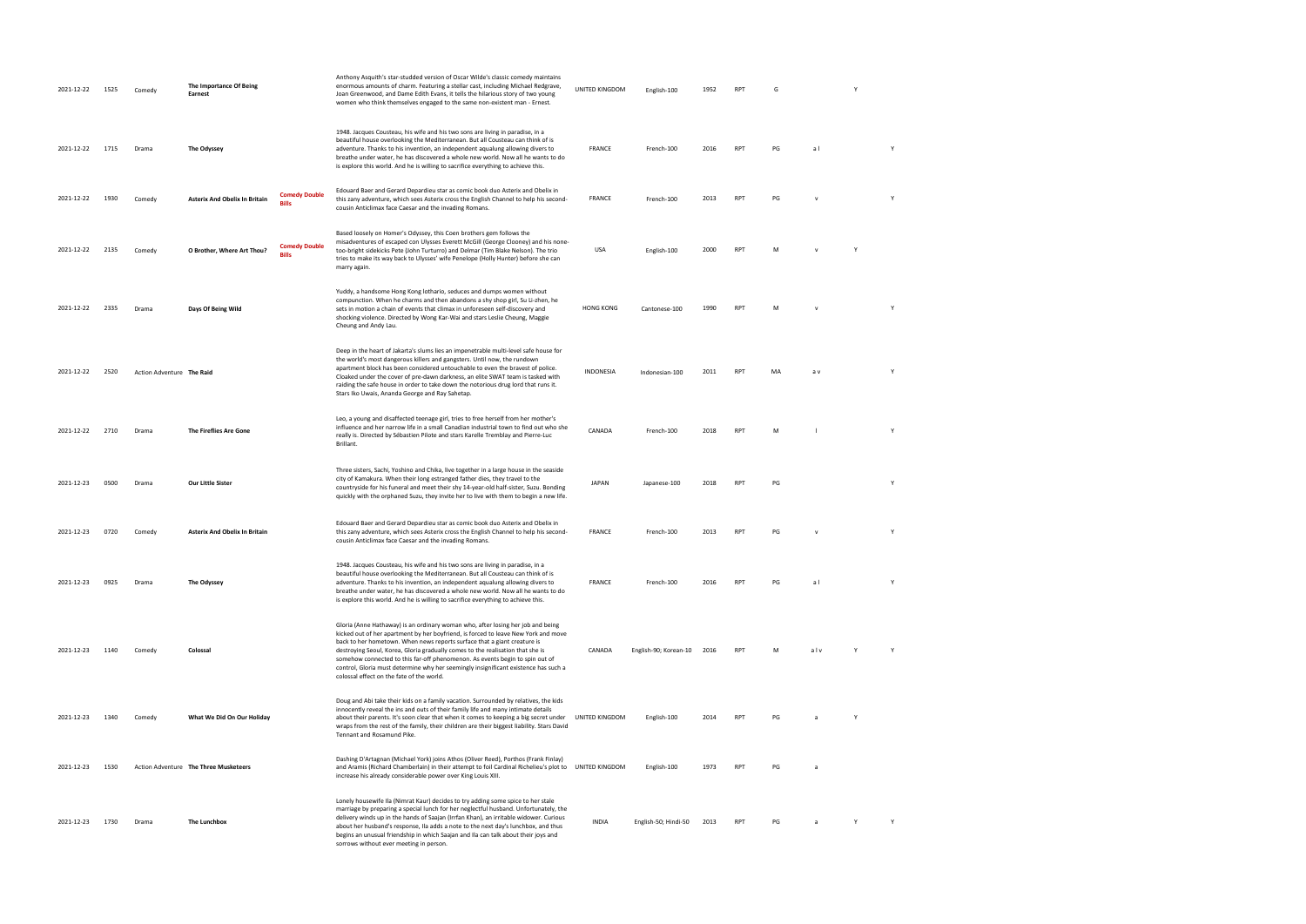| 2021-12-22 | 1525 | Comedy                    | The Importance Of Being<br>Earnest    |                                      | Anthony Asquith's star-studded version of Oscar Wilde's classic comedy maintains<br>enormous amounts of charm. Featuring a stellar cast, including Michael Redgrave,<br>Joan Greenwood, and Dame Edith Evans, it tells the hilarious story of two young<br>women who think themselves engaged to the same non-existent man - Ernest.                                                                                                                                                                                                                    | UNITED KINGDOM   | English-100           | 1952 | <b>RPT</b> | G  |              | Y |   |
|------------|------|---------------------------|---------------------------------------|--------------------------------------|---------------------------------------------------------------------------------------------------------------------------------------------------------------------------------------------------------------------------------------------------------------------------------------------------------------------------------------------------------------------------------------------------------------------------------------------------------------------------------------------------------------------------------------------------------|------------------|-----------------------|------|------------|----|--------------|---|---|
| 2021-12-22 | 1715 | Drama                     | The Odyssey                           |                                      | 1948. Jacques Cousteau, his wife and his two sons are living in paradise, in a<br>beautiful house overlooking the Mediterranean. But all Cousteau can think of is<br>adventure. Thanks to his invention, an independent aqualung allowing divers to<br>breathe under water, he has discovered a whole new world. Now all he wants to do<br>is explore this world. And he is willing to sacrifice everything to achieve this.                                                                                                                            | FRANCE           | French-100            | 2016 | RPT        | PG | al           |   | Y |
| 2021-12-22 | 1930 | Comedy                    | <b>Asterix And Obelix In Britain</b>  | <b>Comedy Double</b><br><b>Bills</b> | Edouard Baer and Gerard Depardieu star as comic book duo Asterix and Obelix in<br>this zany adventure, which sees Asterix cross the English Channel to help his second-<br>cousin Anticlimax face Caesar and the invading Romans.                                                                                                                                                                                                                                                                                                                       | <b>FRANCE</b>    | French-100            | 2013 | RPT        | PG | $\mathsf{v}$ |   | Y |
| 2021-12-22 | 2135 | Comedy                    | O Brother, Where Art Thou?            | <b>Comedy Double</b><br><b>Bills</b> | Based loosely on Homer's Odyssey, this Coen brothers gem follows the<br>misadventures of escaped con Ulysses Everett McGill (George Clooney) and his none-<br>too-bright sidekicks Pete (John Turturro) and Delmar (Tim Blake Nelson). The trio<br>tries to make its way back to Ulysses' wife Penelope (Holly Hunter) before she can<br>marry again.                                                                                                                                                                                                   | USA              | English-100           | 2000 | RPT        | M  | $\mathsf{v}$ | Y |   |
| 2021-12-22 | 2335 | Drama                     | Days Of Being Wild                    |                                      | Yuddy, a handsome Hong Kong lothario, seduces and dumps women without<br>compunction. When he charms and then abandons a shy shop girl, Su Li-zhen, he<br>sets in motion a chain of events that climax in unforeseen self-discovery and<br>shocking violence. Directed by Wong Kar-Wai and stars Leslie Cheung, Maggie<br>Cheung and Andy Lau.                                                                                                                                                                                                          | <b>HONG KONG</b> | Cantonese-100         | 1990 | <b>RPT</b> | м  | v            |   |   |
| 2021-12-22 | 2520 | Action Adventure The Raid |                                       |                                      | Deep in the heart of Jakarta's slums lies an impenetrable multi-level safe house for<br>the world's most dangerous killers and gangsters. Until now, the rundown<br>apartment block has been considered untouchable to even the bravest of police.<br>Cloaked under the cover of pre-dawn darkness, an elite SWAT team is tasked with<br>raiding the safe house in order to take down the notorious drug lord that runs it.<br>Stars Iko Uwais, Ananda George and Ray Sahetap.                                                                          | <b>INDONESIA</b> | Indonesian-100        | 2011 | RPT        | MA | a v          |   | Y |
| 2021-12-22 | 2710 | Drama                     | The Fireflies Are Gone                |                                      | Leo, a young and disaffected teenage girl, tries to free herself from her mother's<br>influence and her narrow life in a small Canadian industrial town to find out who she<br>really is. Directed by Sébastien Pilote and stars Karelle Tremblay and Pierre-Luc<br>Brillant.                                                                                                                                                                                                                                                                           | CANADA           | French-100            | 2018 | RPT        | M  |              |   | Y |
| 2021-12-23 | 0500 | Drama                     | <b>Our Little Sister</b>              |                                      | Three sisters, Sachi, Yoshino and Chika, live together in a large house in the seaside<br>city of Kamakura. When their long estranged father dies, they travel to the<br>countryside for his funeral and meet their shy 14-year-old half-sister, Suzu. Bonding<br>quickly with the orphaned Suzu, they invite her to live with them to begin a new life.                                                                                                                                                                                                | JAPAN            | Japanese-100          | 2018 | RPT        | PG |              |   | Y |
| 2021-12-23 | 0720 | Comedy                    | <b>Asterix And Obelix In Britain</b>  |                                      | Edouard Baer and Gerard Depardieu star as comic book duo Asterix and Obelix in<br>this zany adventure, which sees Asterix cross the English Channel to help his second-<br>cousin Anticlimax face Caesar and the invading Romans.                                                                                                                                                                                                                                                                                                                       | <b>FRANCE</b>    | French-100            | 2013 | RPT        | PG | $\mathsf{V}$ |   |   |
| 2021-12-23 | 0925 | Drama                     | The Odyssey                           |                                      | 1948. Jacques Cousteau, his wife and his two sons are living in paradise, in a<br>beautiful house overlooking the Mediterranean. But all Cousteau can think of is<br>adventure. Thanks to his invention, an independent aqualung allowing divers to<br>breathe under water, he has discovered a whole new world. Now all he wants to do<br>is explore this world. And he is willing to sacrifice everything to achieve this.                                                                                                                            | <b>FRANCE</b>    | French-100            | 2016 | <b>RPT</b> | PG | al           |   | Y |
| 2021-12-23 | 1140 | Comedy                    | Colossal                              |                                      | Gloria (Anne Hathaway) is an ordinary woman who, after losing her job and being<br>kicked out of her apartment by her boyfriend, is forced to leave New York and move<br>back to her hometown. When news reports surface that a giant creature is<br>destroying Seoul, Korea, Gloria gradually comes to the realisation that she is<br>somehow connected to this far-off phenomenon. As events begin to spin out of<br>control, Gloria must determine why her seemingly insignificant existence has such a<br>colossal effect on the fate of the world. | CANADA           | English-90; Korean-10 | 2016 | RPT        | м  | alv          | Y | Y |
| 2021-12-23 | 1340 | Comedy                    | What We Did On Our Holiday            |                                      | Doug and Abi take their kids on a family vacation. Surrounded by relatives, the kids<br>innocently reveal the ins and outs of their family life and many intimate details<br>about their parents. It's soon clear that when it comes to keeping a big secret under<br>wraps from the rest of the family, their children are their biggest liability. Stars David<br>Tennant and Rosamund Pike.                                                                                                                                                          | UNITED KINGDOM   | English-100           | 2014 | RPT        | PG | a            | Y |   |
| 2021-12-23 | 1530 |                           | Action Adventure The Three Musketeers |                                      | Dashing D'Artagnan (Michael York) joins Athos (Oliver Reed), Porthos (Frank Finlay)<br>and Aramis (Richard Chamberlain) in their attempt to foil Cardinal Richelieu's plot to UNITED KINGDOM<br>increase his already considerable power over King Louis XIII.                                                                                                                                                                                                                                                                                           |                  | English-100           | 1973 | RPT        | PG | a            |   |   |
| 2021-12-23 | 1730 | Drama                     | The Lunchbox                          |                                      | Lonely housewife Ila (Nimrat Kaur) decides to try adding some spice to her stale<br>marriage by preparing a special lunch for her neglectful husband. Unfortunately, the<br>delivery winds up in the hands of Saajan (Irrfan Khan), an irritable widower. Curious<br>about her husband's response, Ila adds a note to the next day's lunchbox, and thus<br>begins an unusual friendship in which Saajan and Ila can talk about their joys and<br>sorrows without ever meeting in person.                                                                | <b>INDIA</b>     | English-50; Hindi-50  | 2013 | <b>RPT</b> | PG | a            |   | Y |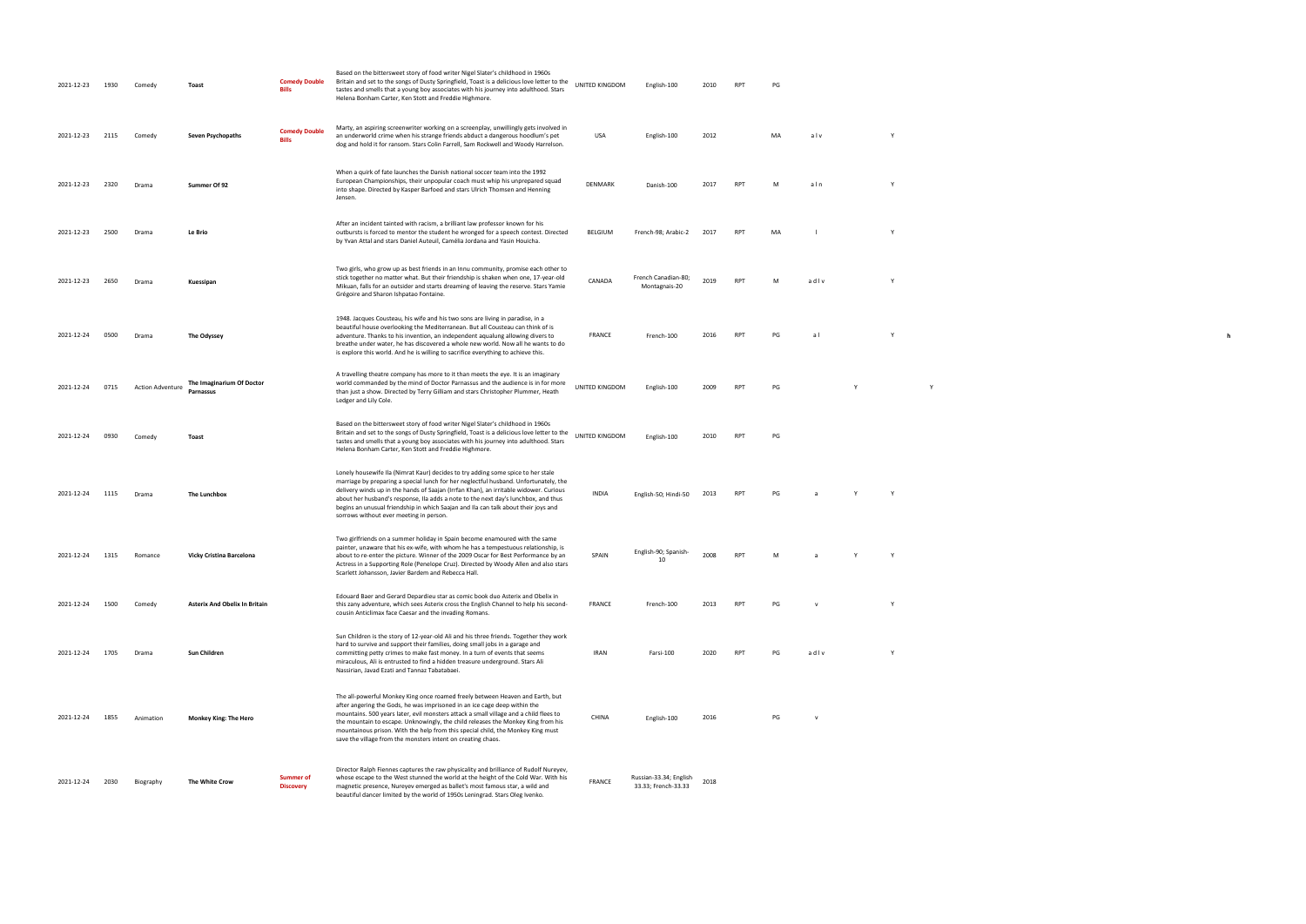| 2021-12-23 | 1930 | Comed                   | Toast                                         | <b>Comedy Double</b><br><b>Bills</b> | Based on the bittersweet story of food writer Nigel Slater's childhood in 1960s<br>Britain and set to the songs of Dusty Springfield, Toast is a delicious love letter to the<br>tastes and smells that a young boy associates with his journey into adulthood. Stars<br>Helena Bonham Carter, Ken Stott and Freddie Highmore.                                                                                                                                                             | UNITED KINGDOM | English-100                                    | 2010 | <b>RPT</b> | PG |                |   |  |
|------------|------|-------------------------|-----------------------------------------------|--------------------------------------|--------------------------------------------------------------------------------------------------------------------------------------------------------------------------------------------------------------------------------------------------------------------------------------------------------------------------------------------------------------------------------------------------------------------------------------------------------------------------------------------|----------------|------------------------------------------------|------|------------|----|----------------|---|--|
| 2021-12-23 | 2115 | Comedy                  | Seven Psychopaths                             | <b>Comedy Double</b><br>Rillo        | Marty, an aspiring screenwriter working on a screenplay, unwillingly gets involved in<br>an underworld crime when his strange friends abduct a dangerous hoodlum's pet<br>dog and hold it for ransom. Stars Colin Farrell, Sam Rockwell and Woody Harrelson.                                                                                                                                                                                                                               | USA            | English-100                                    | 2012 |            | MA | alv            |   |  |
| 2021-12-23 | 2320 | Drama                   | Summer Of 92                                  |                                      | When a quirk of fate launches the Danish national soccer team into the 1992<br>European Championships, their unpopular coach must whip his unprepared squad<br>into shape. Directed by Kasper Barfoed and stars Ulrich Thomsen and Henning<br>Jensen.                                                                                                                                                                                                                                      | DENMARK        | Danish-100                                     | 2017 |            |    | aln            |   |  |
| 2021-12-23 | 2500 | Drama                   | Le Brio                                       |                                      | After an incident tainted with racism, a brilliant law professor known for his<br>outbursts is forced to mentor the student he wronged for a speech contest. Directed<br>by Yvan Attal and stars Daniel Auteuil, Camélia Jordana and Yasin Houicha.                                                                                                                                                                                                                                        | BELGIUM        | French-98; Arabic-2                            | 2017 | <b>RPT</b> | MA |                |   |  |
| 2021-12-23 | 2650 | Drama                   | Kuessipan                                     |                                      | Two girls, who grow up as best friends in an Innu community, promise each other to<br>stick together no matter what. But their friendship is shaken when one, 17-year-old<br>Mikuan, falls for an outsider and starts dreaming of leaving the reserve. Stars Yamie<br>Grégoire and Sharon Ishpatao Fontaine.                                                                                                                                                                               | CANADA         | French Canadian-80;<br>Montagnais-20           | 2019 | <b>RPT</b> | M  | adlv           |   |  |
| 2021-12-24 | 0500 | Drama                   | The Odyssey                                   |                                      | 1948. Jacques Cousteau, his wife and his two sons are living in paradise, in a<br>beautiful house overlooking the Mediterranean. But all Cousteau can think of is<br>adventure. Thanks to his invention, an independent aqualung allowing divers to<br>breathe under water, he has discovered a whole new world. Now all he wants to do<br>is explore this world. And he is willing to sacrifice everything to achieve this.                                                               | FRANCE         | French-100                                     | 2016 | <b>RPT</b> | PG | al             |   |  |
| 2021-12-24 | 0715 | <b>Action Adventure</b> | The Imaginarium Of Doctor<br><b>Parnassus</b> |                                      | A travelling theatre company has more to it than meets the eye. It is an imaginary<br>world commanded by the mind of Doctor Parnassus and the audience is in for more<br>than just a show. Directed by Terry Gilliam and stars Christopher Plummer, Heath<br>Ledger and Lily Cole.                                                                                                                                                                                                         | UNITED KINGDOM | English-100                                    | 2009 | <b>RPT</b> | PG |                | Y |  |
| 2021-12-24 | 0930 | Comed                   | Toast                                         |                                      | Based on the bittersweet story of food writer Nigel Slater's childhood in 1960s<br>Britain and set to the songs of Dusty Springfield, Toast is a delicious love letter to the<br>tastes and smells that a young boy associates with his journey into adulthood. Stars<br>Helena Bonham Carter, Ken Stott and Freddie Highmore.                                                                                                                                                             | UNITED KINGDOM | English-100                                    | 2010 | <b>RPT</b> | PG |                |   |  |
| 2021-12-24 | 1115 | Drama                   | The Lunchbox                                  |                                      | Lonely housewife Ila (Nimrat Kaur) decides to try adding some spice to her stale<br>marriage by preparing a special lunch for her neglectful husband. Unfortunately, the<br>delivery winds up in the hands of Saajan (Irrfan Khan), an irritable widower. Curious<br>about her husband's response, Ila adds a note to the next day's lunchbox, and thus<br>begins an unusual friendship in which Saajan and Ila can talk about their joys and<br>sorrows without ever meeting in person.   | <b>INDIA</b>   | English-50; Hindi-50                           | 2013 | <b>RPT</b> | PG |                |   |  |
| 2021-12-24 | 1315 | Romance                 | <b>Vicky Cristina Barcelona</b>               |                                      | Two girlfriends on a summer holiday in Spain become enamoured with the same<br>painter, unaware that his ex-wife, with whom he has a tempestuous relationship, is<br>about to re-enter the picture. Winner of the 2009 Oscar for Best Performance by an<br>Actress in a Supporting Role (Penelope Cruz). Directed by Woody Allen and also stars<br>Scarlett Johansson, Javier Bardem and Rebecca Hall.                                                                                     | SPAIN          | English-90; Spanish-<br>10                     | 2008 | <b>RPT</b> | M  | $\overline{a}$ | Y |  |
| 2021-12-24 | 1500 | Comedy                  | <b>Asterix And Obelix In Britain</b>          |                                      | Edouard Baer and Gerard Depardieu star as comic book duo Asterix and Obelix in<br>this zany adventure, which sees Asterix cross the English Channel to help his second-<br>cousin Anticlimax face Caesar and the invading Romans.                                                                                                                                                                                                                                                          | FRANCE         | French-100                                     | 2013 | RPT        | PG | V              |   |  |
| 2021-12-24 | 1705 | Drama                   | Sun Children                                  |                                      | Sun Children is the story of 12-year-old Ali and his three friends. Together they work<br>hard to survive and support their families, doing small jobs in a garage and<br>committing petty crimes to make fast money. In a turn of events that seems<br>miraculous, Ali is entrusted to find a hidden treasure underground. Stars Ali<br>Nassirian, Javad Ezati and Tannaz Tabatabaei.                                                                                                     | IRAN           | Farsi-100                                      | 2020 | <b>RPT</b> | PG | adlv           |   |  |
| 2021-12-24 | 1855 | Animation               | Monkey King: The Hero                         |                                      | The all-powerful Monkey King once roamed freely between Heaven and Earth, but<br>after angering the Gods, he was imprisoned in an ice cage deep within the<br>mountains. 500 years later, evil monsters attack a small village and a child flees to<br>the mountain to escape. Unknowingly, the child releases the Monkey King from his<br>mountainous prison. With the help from this special child, the Monkey King must<br>save the village from the monsters intent on creating chaos. | CHINA          | English-100                                    | 2016 |            | PG | $\mathbf v$    |   |  |
| 2021-12-24 | 2030 | Biography               | The White Crow                                | <b>Summer of</b><br><b>Discovery</b> | Director Ralph Fiennes captures the raw physicality and brilliance of Rudolf Nureyev,<br>whose escape to the West stunned the world at the height of the Cold War. With his<br>magnetic presence, Nureyev emerged as ballet's most famous star, a wild and<br>beautiful dancer limited by the world of 1950s Leningrad. Stars Oleg Ivenko.                                                                                                                                                 | FRANCE         | Russian-33.34; English-<br>33.33; French-33.33 | 2018 |            |    |                |   |  |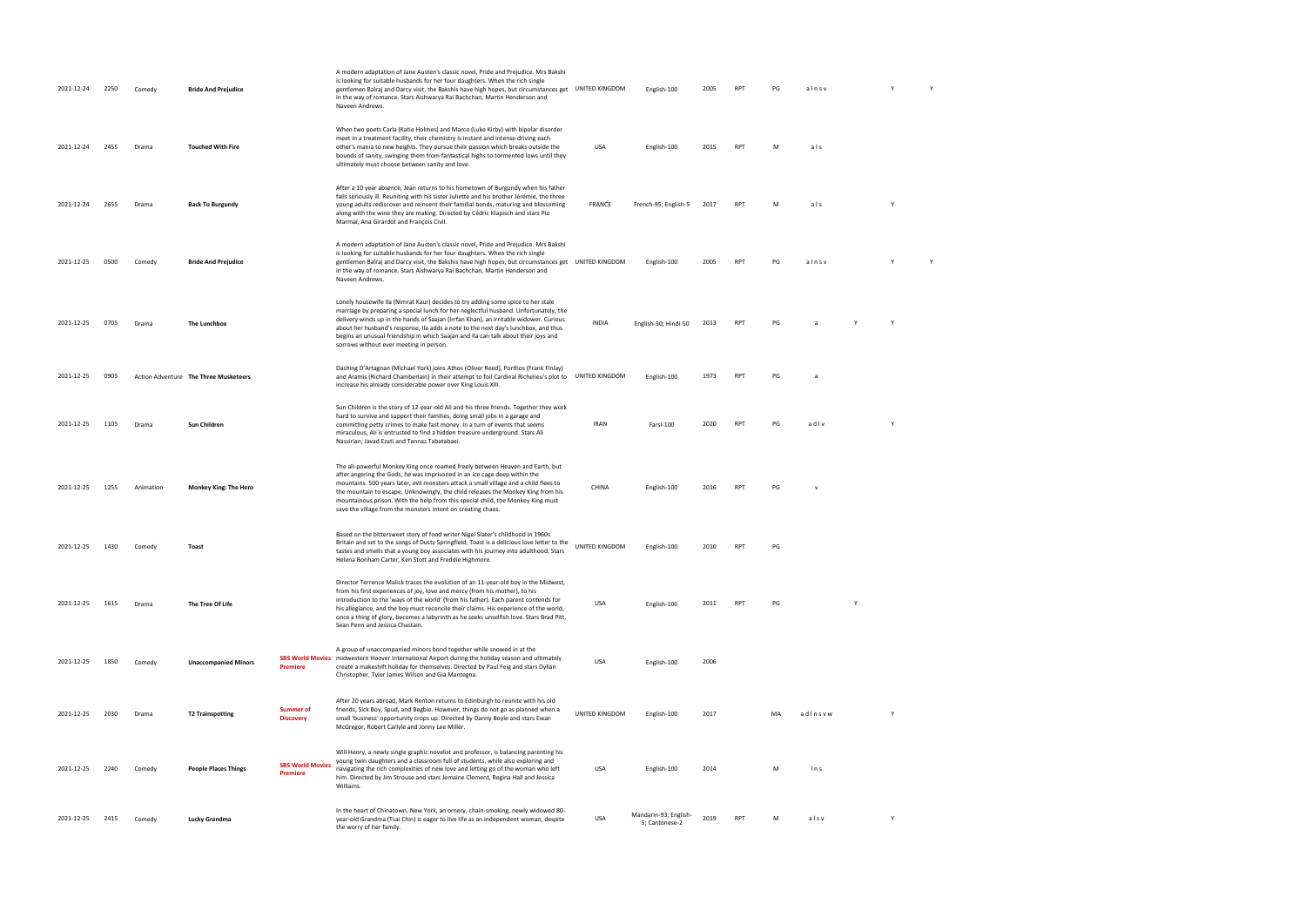| 2021-12-24 | 2250 | Comedy    | <b>Bride And Prejudice</b>            |                                            | A modern adaptation of Jane Austen's classic novel, Pride and Prejudice. Mrs Bakshi<br>is looking for suitable husbands for her four daughters. When the rich single<br>gentlemen Balraj and Darcy visit, the Bakshis have high hopes, but circumstances get UNITED KINGDOM<br>in the way of romance. Stars Aishwarya Rai Bachchan, Martin Henderson and<br>Naveen Andrews.                                                                                                                |                | English-100                             | 2005 | <b>RPT</b> | PG | alnsv        |   |          |  |
|------------|------|-----------|---------------------------------------|--------------------------------------------|--------------------------------------------------------------------------------------------------------------------------------------------------------------------------------------------------------------------------------------------------------------------------------------------------------------------------------------------------------------------------------------------------------------------------------------------------------------------------------------------|----------------|-----------------------------------------|------|------------|----|--------------|---|----------|--|
| 2021-12-24 | 2455 | Drama     | <b>Touched With Fire</b>              |                                            | When two poets Carla (Katie Holmes) and Marco (Luke Kirby) with bipolar disorder<br>meet in a treatment facility, their chemistry is instant and intense driving each<br>other's mania to new heights. They pursue their passion which breaks outside the<br>bounds of sanity, swinging them from fantastical highs to tormented lows until they<br>ultimately must choose between sanity and love.                                                                                        | USA            | English-100                             | 2015 | <b>RPT</b> | M  | als          |   |          |  |
| 2021-12-24 | 2655 | Drama     | <b>Back To Burgundy</b>               |                                            | After a 10 year absence, Jean returns to his hometown of Burgundy when his father<br>falls seriously ill. Reuniting with his sister Juliette and his brother Jérémie, the three<br>young adults rediscover and reinvent their familial bonds, maturing and blossoming<br>along with the wine they are making. Directed by Cédric Klapisch and stars Pio<br>Marmaï, Ana Girardot and François Civil.                                                                                        | <b>FRANCE</b>  | French-95; English-5                    | 2017 | <b>RPT</b> | M  | als          |   | <b>Y</b> |  |
| 2021-12-25 | 0500 | Comedy    | <b>Bride And Prejudice</b>            |                                            | A modern adaptation of Jane Austen's classic novel, Pride and Prejudice. Mrs Bakshi<br>is looking for suitable husbands for her four daughters. When the rich single<br>gentlemen Balraj and Darcy visit, the Bakshis have high hopes, but circumstances get<br>in the way of romance. Stars Aishwarya Rai Bachchan, Martin Henderson and<br>Naveen Andrews.                                                                                                                               | UNITED KINGDOM | English-100                             | 2005 | <b>RPT</b> | PG | alnsv        |   |          |  |
| 2021-12-25 | 0705 | Drama     | The Lunchbox                          |                                            | Lonely housewife Ila (Nimrat Kaur) decides to try adding some spice to her stale<br>marriage by preparing a special lunch for her neglectful husband. Unfortunately, the<br>delivery winds up in the hands of Saajan (Irrfan Khan), an irritable widower. Curious<br>about her husband's response, Ila adds a note to the next day's lunchbox, and thus<br>begins an unusual friendship in which Saajan and Ila can talk about their joys and<br>sorrows without ever meeting in person.   | <b>INDIA</b>   | English-50; Hindi-50                    | 2013 | <b>RPT</b> | PG |              |   |          |  |
| 2021-12-25 | 0905 |           | Action Adventure The Three Musketeers |                                            | Dashing D'Artagnan (Michael York) joins Athos (Oliver Reed), Porthos (Frank Finlay)<br>and Aramis (Richard Chamberlain) in their attempt to foil Cardinal Richelieu's plot to<br>increase his already considerable power over King Louis XIII.                                                                                                                                                                                                                                             | UNITED KINGDOM | English-100                             | 1973 | <b>RPT</b> | PG | a            |   |          |  |
| 2021-12-25 | 1105 | Drama     | Sun Children                          |                                            | Sun Children is the story of 12-year-old Ali and his three friends. Together they work<br>hard to survive and support their families, doing small jobs in a garage and<br>committing petty crimes to make fast money. In a turn of events that seems<br>miraculous, Ali is entrusted to find a hidden treasure underground. Stars Ali<br>Nassirian, Javad Ezati and Tannaz Tabatabaei.                                                                                                     | <b>IRAN</b>    | Farsi-100                               | 2020 | <b>RPT</b> | PG | adlv         |   |          |  |
| 2021-12-25 | 1255 | Animation | <b>Monkey King: The Hero</b>          |                                            | The all-powerful Monkey King once roamed freely between Heaven and Earth, but<br>after angering the Gods, he was imprisoned in an ice cage deep within the<br>mountains. 500 years later, evil monsters attack a small village and a child flees to<br>the mountain to escape. Unknowingly, the child releases the Monkey King from his<br>mountainous prison. With the help from this special child, the Monkey King must<br>save the village from the monsters intent on creating chaos. | CHINA          | English-100                             | 2016 | <b>RPT</b> | PG | $\mathbf{v}$ |   |          |  |
| 2021-12-25 | 1430 | Comedy    | Toast                                 |                                            | Based on the bittersweet story of food writer Nigel Slater's childhood in 1960s<br>Britain and set to the songs of Dusty Springfield, Toast is a delicious love letter to the<br>tastes and smells that a young boy associates with his journey into adulthood. Stars<br>Helena Bonham Carter, Ken Stott and Freddie Highmore.                                                                                                                                                             | UNITED KINGDOM | English-100                             | 2010 | <b>RPT</b> | PG |              |   |          |  |
| 2021-12-25 | 1615 | Drama     | The Tree Of Life                      |                                            | Director Terrence Malick traces the evolution of an 11-year-old boy in the Midwest,<br>from his first experiences of joy, love and mercy (from his mother), to his<br>introduction to the 'ways of the world' (from his father). Each parent contends for<br>his allegiance, and the boy must reconcile their claims. His experience of the world,<br>once a thing of glory, becomes a labyrinth as he seeks unselfish love. Stars Brad Pitt,<br>Sean Penn and Jessica Chastain.           | <b>USA</b>     | English-100                             | 2011 | <b>RPT</b> | PG |              | Y |          |  |
| 2021-12-25 | 1850 | Comedy    | <b>Unaccompanied Minors</b>           | <b>SBS World Movies</b><br><b>Premiere</b> | A group of unaccompanied minors bond together while snowed in at the<br>midwestern Hoover International Airport during the holiday season and ultimately<br>create a makeshift holiday for themselves. Directed by Paul Feig and stars Dyllan<br>Christopher, Tyler James Wilson and Gia Mantegna.                                                                                                                                                                                         | <b>USA</b>     | English-100                             | 2006 |            |    |              |   |          |  |
| 2021-12-25 | 2030 | Drama     | <b>T2 Trainspotting</b>               | <b>Summer of</b><br><b>Discovery</b>       | After 20 years abroad, Mark Renton returns to Edinburgh to reunite with his old<br>friends, Sick Boy, Spud, and Begbie. However, things do not go as planned when a<br>small 'business' opportunity crops up. Directed by Danny Boyle and stars Ewan<br>McGregor, Robert Carlyle and Jonny Lee Miller.                                                                                                                                                                                     | UNITED KINGDOM | English-100                             | 2017 |            | MA | adlnsvw      |   | Y        |  |
| 2021-12-25 | 2240 | Comedy    | <b>People Places Things</b>           | <b>SBS World Movies</b><br>Premiere        | Will Henry, a newly single graphic novelist and professor, is balancing parenting his<br>young twin daughters and a classroom full of students, while also exploring and<br>navigating the rich complexities of new love and letting go of the woman who left<br>him. Directed by Jim Strouse and stars Jemaine Clement, Regina Hall and Jessica<br>Williams.                                                                                                                              | <b>USA</b>     | English-100                             | 2014 |            | M  | ln s         |   |          |  |
| 2021-12-25 | 2415 | Comedy    | Lucky Grandma                         |                                            | In the heart of Chinatown, New York, an ornery, chain-smoking, newly widowed 80-<br>year-old Grandma (Tsai Chin) is eager to live life as an independent woman, despite<br>the worry of her family.                                                                                                                                                                                                                                                                                        | <b>USA</b>     | Mandarin-93; English-<br>5; Cantonese-2 | 2019 | <b>RPT</b> | M  | alsv         |   | Y        |  |